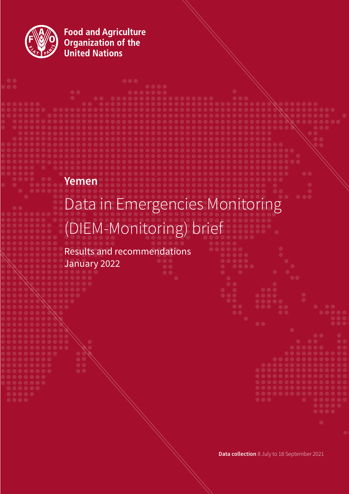

**Food and Agriculture<br>Organization of the<br>United Nations** 

# **Yemen**

# Data in Emergencies Monitoring (DIEM-Monitoring) brief

**. . . .** 

Results and recommendations January 2022



**Data collection** 8 July to 18 September 2021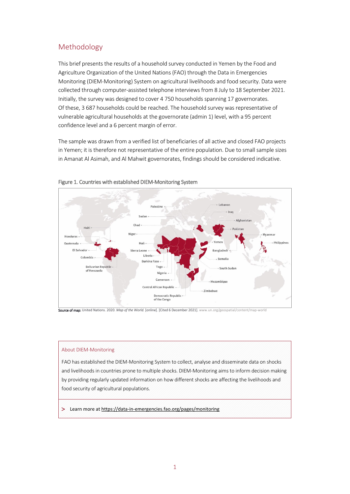# Methodology

This brief presents the results of a household survey conducted in Yemen by the Food and Agriculture Organization of the United Nations (FAO) through the Data in Emergencies Monitoring (DIEM-Monitoring) System on agricultural livelihoods and food security. Data were collected through computer-assisted telephone interviews from 8 July to 18 September 2021. Initially, the survey was designed to cover 4 750 households spanning 17 governorates. Of these, 3 687 households could be reached. The household survey was representative of vulnerable agricultural households at the governorate (admin 1) level, with a 95 percent confidence level and a 6 percent margin of error.

The sample was drawn from a verified list of beneficiaries of all active and closed FAO projects in Yemen; it is therefore not representative of the entire population. Due to small sample sizes in Amanat Al Asimah, and Al Mahwit governorates, findings should be considered indicative.



Figure 1. Countries with established DIEM-Monitoring System

Source of map: United Nations. 2020. *Map of the World.* [online]. [Cited 6 December 2021][. www.un.org/geospatial/content/map-world](http://www.un.org/geospatial/content/map-world) 

#### About DIEM-Monitoring

FAO has established the DIEM-Monitoring System to collect, analyse and disseminate data on shocks and livelihoods in countries prone to multiple shocks. DIEM-Monitoring aims to inform decision making by providing regularly updated information on how different shocks are affecting the livelihoods and food security of agricultural populations.

> Learn more a[t https://data-in-emergencies.fao.org/pages/monitoring](https://data-in-emergencies.fao.org/pages/monitoring)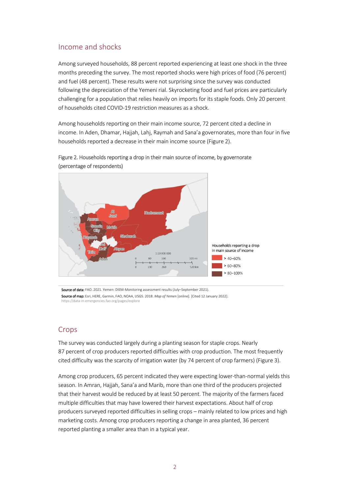### Income and shocks

Among surveyed households, 88 percent reported experiencing at least one shock in the three months preceding the survey. The most reported shocks were high prices of food (76 percent) and fuel (48 percent). These results were not surprising since the survey was conducted following the depreciation of the Yemeni rial. Skyrocketing food and fuel prices are particularly challenging for a population that relies heavily on imports for its staple foods. Only 20 percent of households cited COVID-19 restriction measures as a shock.

Among households reporting on their main income source, 72 percent cited a decline in income. In Aden, Dhamar, Hajjah, Lahj, Raymah and Sana'a governorates, more than four in five households reported a decrease in their main income source (Figure 2).





Source of data: FAO. 2021. Yemen: DIEM-Monitoring assessment results (July–September 2021). Source of map: Esri, HERE, Garmin, FAO, NOAA, USGS. 2018. *Map of Yemen* [online]. [Cited 12 January 2022]. https://data-in-[emergencies.fao.org/pages/explore](https://data-in-emergencies.fao.org/pages/explore)

#### **Crops**

The survey was conducted largely during a planting season for staple crops. Nearly 87 percent of crop producers reported difficulties with crop production. The most frequently cited difficulty was the scarcity of irrigation water (by 74 percent of crop farmers) (Figure 3).

Among crop producers, 65 percent indicated they were expecting lower-than-normal yields this season. In Amran, Hajjah, Sana'a and Marib, more than one third of the producers projected that their harvest would be reduced by at least 50 percent. The majority of the farmers faced multiple difficulties that may have lowered their harvest expectations. About half of crop producers surveyed reported difficulties in selling crops – mainly related to low prices and high marketing costs. Among crop producers reporting a change in area planted, 36 percent reported planting a smaller area than in a typical year.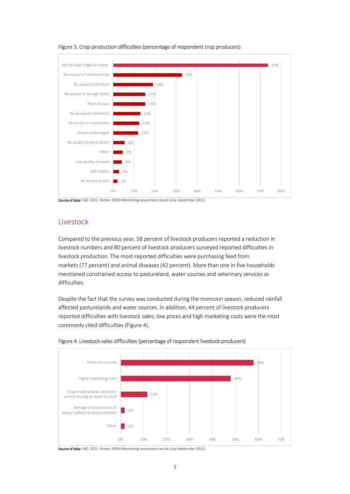

#### Figure 3. Crop-production difficulties (percentage of respondent crop producers)

Source of data: FAO. 2021. Yemen: DIEM-Monitoring assessment results (July-September 2021).

### Livestock

Compared to the previous year, 58 percent of livestock producers reported a reduction in livestock numbers and 80 percent of livestock producers surveyed reported difficulties in livestock production. The most-reported difficulties were purchasing feed from markets (77 percent) and animal diseases (42 percent). More than one in five households mentioned constrained access to pastureland, water sources and veterinary services as difficulties.

Despite the fact that the survey was conducted during the monsoon season, reduced rainfall affected pasturelands and water sources. In addition, 44 percent of livestock producers reported difficulties with livestock sales; low prices and high marketing costs were the most commonly cited difficulties (Figure 4).



Figure 4. Livestock-sales difficulties (percentage of respondent livestock producers)

Source of data: FAO. 2021. Yemen: DIEM-Monitoring assessment results (July-September 2021).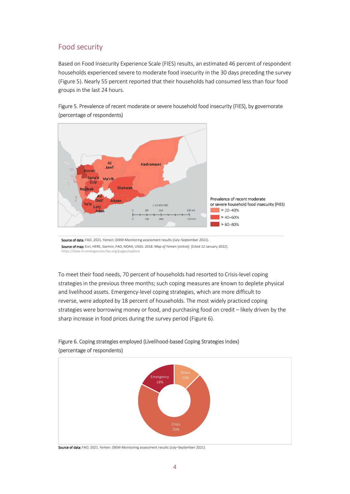## Food security

Based on Food Insecurity Experience Scale (FIES) results, an estimated 46 percent of respondent households experienced severe to moderate food insecurity in the 30 days preceding the survey (Figure 5). Nearly 55 percent reported that their households had consumed less than four food groups in the last 24 hours.



Figure 5. Prevalence of recent moderate or severe household food insecurity (FIES), by governorate (percentage of respondents)

Source of data: FAO. 2021. Yemen: DIEM-Monitoring assessment results (July-September 2021). Source of map: Esri, HERE, Garmin, FAO, NOAA, USGS. 2018. *Map of Yemen* [online]. [Cited 12 January 2022]. h-emergencies.fao.org/pages/explore

To meet their food needs, 70 percent of households had resorted to Crisis-level coping strategies in the previous three months; such coping measures are known to deplete physical and livelihood assets. Emergency-level coping strategies, which are more difficult to reverse, were adopted by 18 percent of households. The most widely practiced coping strategies were borrowing money or food, and purchasing food on credit – likely driven by the sharp increase in food prices during the survey period (Figure 6).



#### Figure 6. Coping strategies employed (Livelihood-based Coping Strategies Index) (percentage of respondents)

Source of data: FAO. 2021. Yemen: DIEM-Monitoring assessment results (July-September 2021).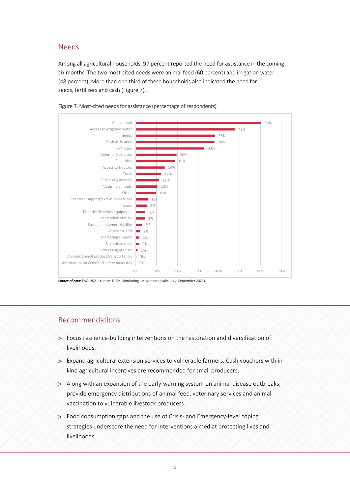## Needs

Among all agricultural households, 97 percent reported the need for assistance in the coming six months. The two most-cited needs were animal feed (60 percent) and irrigation water (48 percent). More than one third of these households also indicated the need for seeds, fertilizers and cash (Figure 7).





Source of data: FAO. 2021. Yemen: DIEM-Monitoring assessment results (July-September 2021).

#### Recommendations

- > Focus resilience-building interventions on the restoration and diversification of livelihoods.
- > Expand agricultural extension services to vulnerable farmers. Cash vouchers with inkind agricultural incentives are recommended for small producers.
- > Along with an expansion of the early-warning system on animal disease outbreaks, provide emergency distributions of animal feed, veterinary services and animal vaccination to vulnerable livestock producers.
- > Food consumption gaps and the use of Crisis- and Emergency-level coping strategies underscore the need for interventions aimed at protecting lives and livelihoods.